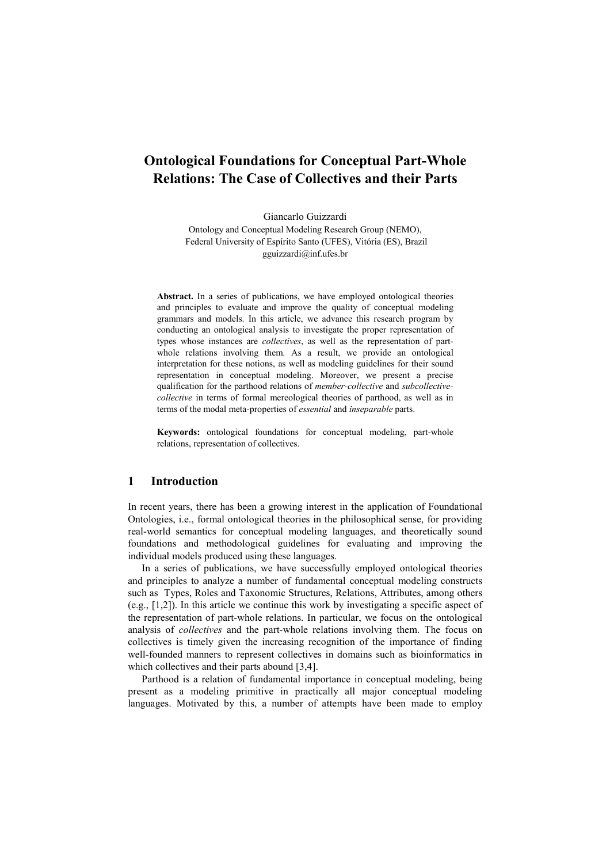# **Ontological Foundations for Conceptual Part-Whole Relations: The Case of Collectives and their Parts**

Giancarlo Guizzardi Ontology and Conceptual Modeling Research Group (NEMO), Federal University of Espírito Santo (UFES), Vitória (ES), Brazil gguizzardi@inf.ufes.br

**Abstract.** In a series of publications, we have employed ontological theories and principles to evaluate and improve the quality of conceptual modeling grammars and models. In this article, we advance this research program by conducting an ontological analysis to investigate the proper representation of types whose instances are *collectives*, as well as the representation of partwhole relations involving them. As a result, we provide an ontological interpretation for these notions, as well as modeling guidelines for their sound representation in conceptual modeling. Moreover, we present a precise qualification for the parthood relations of *member-collective* and *subcollectivecollective* in terms of formal mereological theories of parthood, as well as in terms of the modal meta-properties of *essential* and *inseparable* parts.

**Keywords:** ontological foundations for conceptual modeling, part-whole relations, representation of collectives.

## **1 Introduction**

In recent years, there has been a growing interest in the application of Foundational Ontologies, i.e., formal ontological theories in the philosophical sense, for providing real-world semantics for conceptual modeling languages, and theoretically sound foundations and methodological guidelines for evaluating and improving the individual models produced using these languages.

In a series of publications, we have successfully employed ontological theories and principles to analyze a number of fundamental conceptual modeling constructs such as Types, Roles and Taxonomic Structures, Relations, Attributes, among others (e.g., [1,2]). In this article we continue this work by investigating a specific aspect of the representation of part-whole relations. In particular, we focus on the ontological analysis of *collectives* and the part-whole relations involving them. The focus on collectives is timely given the increasing recognition of the importance of finding well-founded manners to represent collectives in domains such as bioinformatics in which collectives and their parts abound [3,4].

Parthood is a relation of fundamental importance in conceptual modeling, being present as a modeling primitive in practically all major conceptual modeling languages. Motivated by this, a number of attempts have been made to employ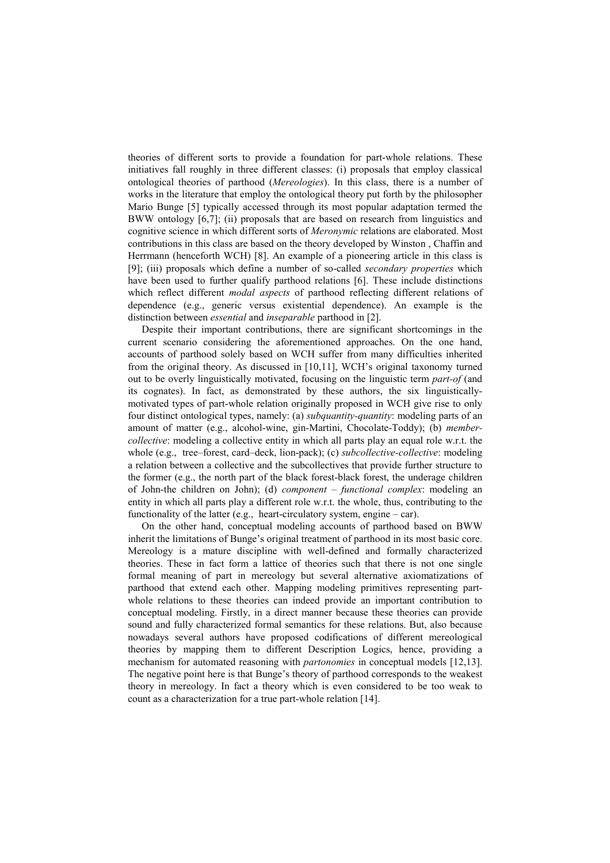theories of different sorts to provide a foundation for part-whole relations. These initiatives fall roughly in three different classes: (i) proposals that employ classical ontological theories of parthood (*Mereologies*). In this class, there is a number of works in the literature that employ the ontological theory put forth by the philosopher Mario Bunge [5] typically accessed through its most popular adaptation termed the BWW ontology [6,7]; (ii) proposals that are based on research from linguistics and cognitive science in which different sorts of *Meronymic* relations are elaborated. Most contributions in this class are based on the theory developed by Winston , Chaffin and Herrmann (henceforth WCH) [8]. An example of a pioneering article in this class is [9]; (iii) proposals which define a number of so-called *secondary properties* which have been used to further qualify parthood relations [6]. These include distinctions which reflect different *modal aspects* of parthood reflecting different relations of dependence (e.g., generic versus existential dependence). An example is the distinction between *essential* and *inseparable* parthood in [2].

Despite their important contributions, there are significant shortcomings in the current scenario considering the aforementioned approaches. On the one hand, accounts of parthood solely based on WCH suffer from many difficulties inherited from the original theory. As discussed in [10,11], WCH's original taxonomy turned out to be overly linguistically motivated, focusing on the linguistic term *part-of* (and its cognates). In fact, as demonstrated by these authors, the six linguisticallymotivated types of part-whole relation originally proposed in WCH give rise to only four distinct ontological types, namely: (a) *subquantity-quantity*: modeling parts of an amount of matter (e.g., alcohol-wine, gin-Martini, Chocolate-Toddy); (b) *membercollective*: modeling a collective entity in which all parts play an equal role w.r.t. the whole (e.g., tree–forest, card–deck, lion-pack); (c) *subcollective-collective*: modeling a relation between a collective and the subcollectives that provide further structure to the former (e.g., the north part of the black forest-black forest, the underage children of John-the children on John); (d) *component – functional complex*: modeling an entity in which all parts play a different role w.r.t. the whole, thus, contributing to the functionality of the latter (e.g., heart-circulatory system, engine – car).

On the other hand, conceptual modeling accounts of parthood based on BWW inherit the limitations of Bunge's original treatment of parthood in its most basic core. Mereology is a mature discipline with well-defined and formally characterized theories. These in fact form a lattice of theories such that there is not one single formal meaning of part in mereology but several alternative axiomatizations of parthood that extend each other. Mapping modeling primitives representing partwhole relations to these theories can indeed provide an important contribution to conceptual modeling. Firstly, in a direct manner because these theories can provide sound and fully characterized formal semantics for these relations. But, also because nowadays several authors have proposed codifications of different mereological theories by mapping them to different Description Logics, hence, providing a mechanism for automated reasoning with *partonomies* in conceptual models [12,13]. The negative point here is that Bunge's theory of parthood corresponds to the weakest theory in mereology. In fact a theory which is even considered to be too weak to count as a characterization for a true part-whole relation [14].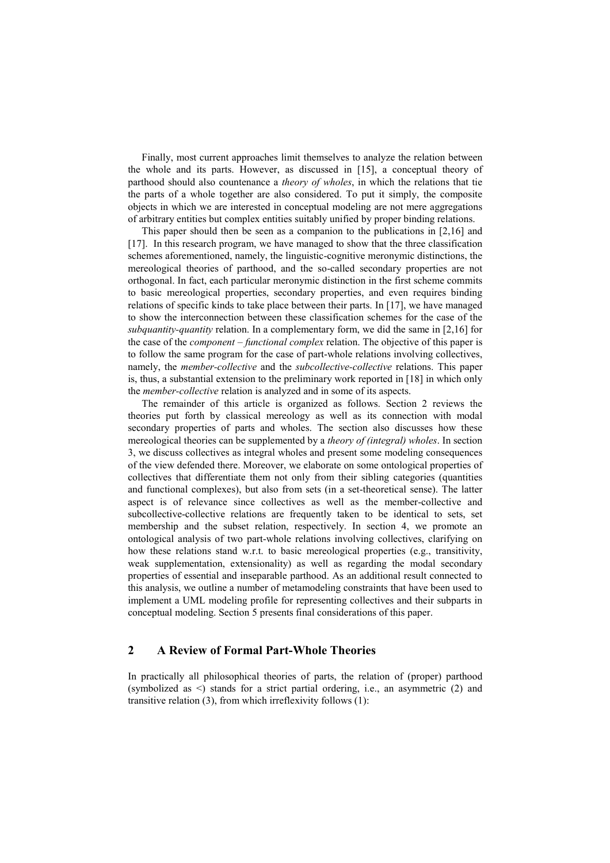Finally, most current approaches limit themselves to analyze the relation between the whole and its parts. However, as discussed in [15], a conceptual theory of parthood should also countenance a *theory of wholes*, in which the relations that tie the parts of a whole together are also considered. To put it simply, the composite objects in which we are interested in conceptual modeling are not mere aggregations of arbitrary entities but complex entities suitably unified by proper binding relations.

This paper should then be seen as a companion to the publications in [2,16] and [17]. In this research program, we have managed to show that the three classification schemes aforementioned, namely, the linguistic-cognitive meronymic distinctions, the mereological theories of parthood, and the so-called secondary properties are not orthogonal. In fact, each particular meronymic distinction in the first scheme commits to basic mereological properties, secondary properties, and even requires binding relations of specific kinds to take place between their parts. In [17], we have managed to show the interconnection between these classification schemes for the case of the *subquantity-quantity* relation. In a complementary form, we did the same in [2,16] for the case of the *component – functional complex* relation. The objective of this paper is to follow the same program for the case of part-whole relations involving collectives, namely, the *member-collective* and the *subcollective-collective* relations. This paper is, thus, a substantial extension to the preliminary work reported in [18] in which only the *member-collective* relation is analyzed and in some of its aspects.

The remainder of this article is organized as follows. Section 2 reviews the theories put forth by classical mereology as well as its connection with modal secondary properties of parts and wholes. The section also discusses how these mereological theories can be supplemented by a *theory of (integral) wholes*. In section 3, we discuss collectives as integral wholes and present some modeling consequences of the view defended there. Moreover, we elaborate on some ontological properties of collectives that differentiate them not only from their sibling categories (quantities and functional complexes), but also from sets (in a set-theoretical sense). The latter aspect is of relevance since collectives as well as the member-collective and subcollective-collective relations are frequently taken to be identical to sets, set membership and the subset relation, respectively. In section 4, we promote an ontological analysis of two part-whole relations involving collectives, clarifying on how these relations stand w.r.t. to basic mereological properties (e.g., transitivity, weak supplementation, extensionality) as well as regarding the modal secondary properties of essential and inseparable parthood. As an additional result connected to this analysis, we outline a number of metamodeling constraints that have been used to implement a UML modeling profile for representing collectives and their subparts in conceptual modeling. Section 5 presents final considerations of this paper.

# **2 A Review of Formal Part-Whole Theories**

In practically all philosophical theories of parts, the relation of (proper) parthood (symbolized as <) stands for a strict partial ordering, i.e., an asymmetric (2) and transitive relation (3), from which irreflexivity follows (1):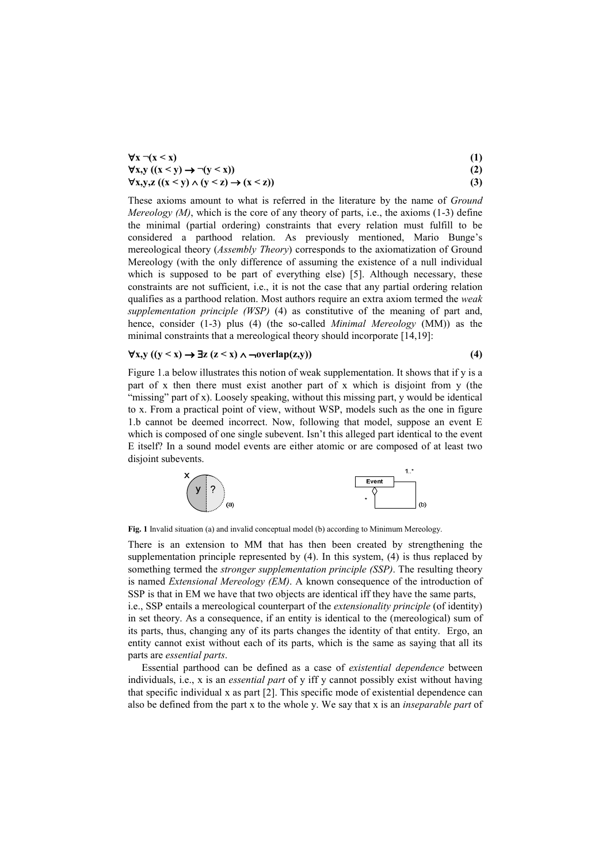$$
\forall x \neg(x < x) \tag{1}
$$
\n
$$
\forall x, y \left( (x < y) \rightarrow \neg(y < x) \right) \tag{2}
$$
\n
$$
\forall x, y, z \left( (x < y) \land (y < z) \rightarrow (x < z) \right) \tag{3}
$$

These axioms amount to what is referred in the literature by the name of *Ground Mereology (M)*, which is the core of any theory of parts, i.e., the axioms (1-3) define the minimal (partial ordering) constraints that every relation must fulfill to be considered a parthood relation. As previously mentioned, Mario Bunge's mereological theory (*Assembly Theory*) corresponds to the axiomatization of Ground Mereology (with the only difference of assuming the existence of a null individual which is supposed to be part of everything else) [5]. Although necessary, these constraints are not sufficient, i.e., it is not the case that any partial ordering relation qualifies as a parthood relation. Most authors require an extra axiom termed the *weak supplementation principle (WSP)* (4) as constitutive of the meaning of part and, hence, consider (1-3) plus (4) (the so-called *Minimal Mereology* (MM)) as the minimal constraints that a mereological theory should incorporate [14,19]:

### ∀**x,y ((y < x)** → ∃**z (z < x)** ∧ ¬**overlap(z,y)) (4)**

Figure 1.a below illustrates this notion of weak supplementation. It shows that if y is a part of x then there must exist another part of x which is disjoint from y (the "missing" part of x). Loosely speaking, without this missing part, y would be identical to x. From a practical point of view, without WSP, models such as the one in figure 1.b cannot be deemed incorrect. Now, following that model, suppose an event E which is composed of one single subevent. Isn't this alleged part identical to the event E itself? In a sound model events are either atomic or are composed of at least two disjoint subevents.



**Fig. 1** Invalid situation (a) and invalid conceptual model (b) according to Minimum Mereology.

There is an extension to MM that has then been created by strengthening the supplementation principle represented by (4). In this system, (4) is thus replaced by something termed the *stronger supplementation principle (SSP)*. The resulting theory is named *Extensional Mereology (EM)*. A known consequence of the introduction of SSP is that in EM we have that two objects are identical iff they have the same parts, i.e., SSP entails a mereological counterpart of the *extensionality principle* (of identity) in set theory. As a consequence, if an entity is identical to the (mereological) sum of its parts, thus, changing any of its parts changes the identity of that entity. Ergo, an entity cannot exist without each of its parts, which is the same as saying that all its parts are *essential parts*.

Essential parthood can be defined as a case of *existential dependence* between individuals, i.e., x is an *essential part* of y iff y cannot possibly exist without having that specific individual x as part [2]. This specific mode of existential dependence can also be defined from the part x to the whole y. We say that x is an *inseparable part* of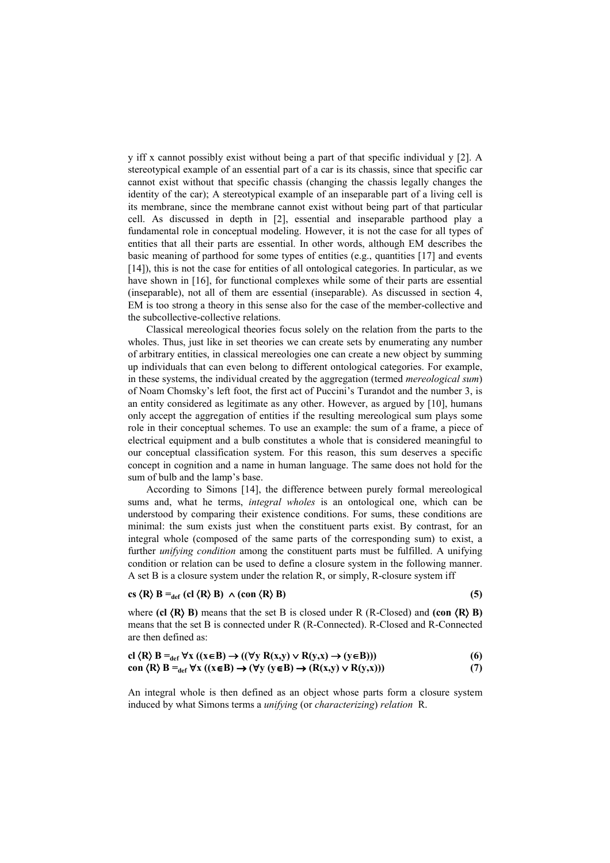y iff x cannot possibly exist without being a part of that specific individual y [2]. A stereotypical example of an essential part of a car is its chassis, since that specific car cannot exist without that specific chassis (changing the chassis legally changes the identity of the car); A stereotypical example of an inseparable part of a living cell is its membrane, since the membrane cannot exist without being part of that particular cell. As discussed in depth in [2], essential and inseparable parthood play a fundamental role in conceptual modeling. However, it is not the case for all types of entities that all their parts are essential. In other words, although EM describes the basic meaning of parthood for some types of entities (e.g., quantities [17] and events [14]), this is not the case for entities of all ontological categories. In particular, as we have shown in [16], for functional complexes while some of their parts are essential (inseparable), not all of them are essential (inseparable). As discussed in section 4, EM is too strong a theory in this sense also for the case of the member-collective and the subcollective-collective relations.

Classical mereological theories focus solely on the relation from the parts to the wholes. Thus, just like in set theories we can create sets by enumerating any number of arbitrary entities, in classical mereologies one can create a new object by summing up individuals that can even belong to different ontological categories. For example, in these systems, the individual created by the aggregation (termed *mereological sum*) of Noam Chomsky's left foot, the first act of Puccini's Turandot and the number 3, is an entity considered as legitimate as any other. However, as argued by [10], humans only accept the aggregation of entities if the resulting mereological sum plays some role in their conceptual schemes. To use an example: the sum of a frame, a piece of electrical equipment and a bulb constitutes a whole that is considered meaningful to our conceptual classification system. For this reason, this sum deserves a specific concept in cognition and a name in human language. The same does not hold for the sum of bulb and the lamp's base.

According to Simons [14], the difference between purely formal mereological sums and, what he terms, *integral wholes* is an ontological one, which can be understood by comparing their existence conditions. For sums, these conditions are minimal: the sum exists just when the constituent parts exist. By contrast, for an integral whole (composed of the same parts of the corresponding sum) to exist, a further *unifying condition* among the constituent parts must be fulfilled. A unifying condition or relation can be used to define a closure system in the following manner. A set B is a closure system under the relation R, or simply, R-closure system iff

#### $\cos \langle R \rangle B =_{def} (cl \langle R \rangle B) \land (con \langle R \rangle B)$  (5)

where  $\textbf{(cl (R) B)}$  means that the set B is closed under R  $\textbf{(R-Closed)}$  and  $\textbf{(con (R) B)}$ means that the set B is connected under R (R-Connected). R-Closed and R-Connected are then defined as:

$$
\text{cl}\langle\text{R}\rangle\text{ }B =_{\text{def}} \forall x \ ((x \in B) \rightarrow ((\forall y \ \text{R}(x, y) \lor \text{R}(y, x) \rightarrow (y \in B)))
$$
\n
$$
\text{con}\langle\text{R}\rangle\text{ }B =_{\text{def}} \forall x \ ((x \in B) \rightarrow (\forall y \ (y \in B) \rightarrow (\text{R}(x, y) \lor \text{R}(y, x))))
$$
\n
$$
\tag{7}
$$

An integral whole is then defined as an object whose parts form a closure system induced by what Simons terms a *unifying* (or *characterizing*) *relation* R.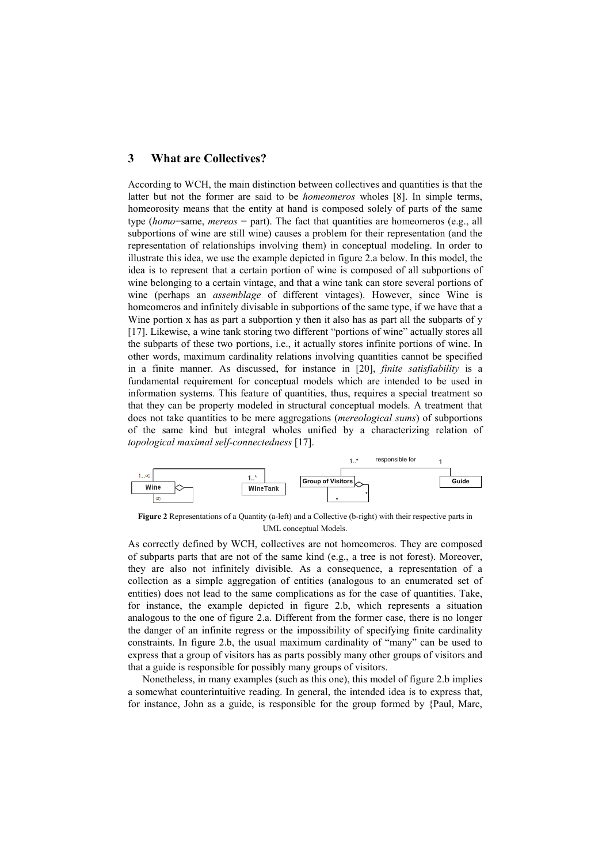### **3 What are Collectives?**

According to WCH, the main distinction between collectives and quantities is that the latter but not the former are said to be *homeomeros* wholes [8]. In simple terms, homeorosity means that the entity at hand is composed solely of parts of the same type (*homo*=same, *mereos* = part). The fact that quantities are homeomeros (e.g., all subportions of wine are still wine) causes a problem for their representation (and the representation of relationships involving them) in conceptual modeling. In order to illustrate this idea, we use the example depicted in figure 2.a below. In this model, the idea is to represent that a certain portion of wine is composed of all subportions of wine belonging to a certain vintage, and that a wine tank can store several portions of wine (perhaps an *assemblage* of different vintages). However, since Wine is homeomeros and infinitely divisable in subportions of the same type, if we have that a Wine portion x has as part a subportion y then it also has as part all the subparts of y [17]. Likewise, a wine tank storing two different "portions of wine" actually stores all the subparts of these two portions, i.e., it actually stores infinite portions of wine. In other words, maximum cardinality relations involving quantities cannot be specified in a finite manner. As discussed, for instance in [20], *finite satisfiability* is a fundamental requirement for conceptual models which are intended to be used in information systems. This feature of quantities, thus, requires a special treatment so that they can be property modeled in structural conceptual models. A treatment that does not take quantities to be mere aggregations (*mereological sums*) of subportions of the same kind but integral wholes unified by a characterizing relation of *topological maximal self-connectedness* [17].



**Figure 2** Representations of a Quantity (a-left) and a Collective (b-right) with their respective parts in UML conceptual Models.

As correctly defined by WCH, collectives are not homeomeros. They are composed of subparts parts that are not of the same kind (e.g., a tree is not forest). Moreover, they are also not infinitely divisible. As a consequence, a representation of a collection as a simple aggregation of entities (analogous to an enumerated set of entities) does not lead to the same complications as for the case of quantities. Take, for instance, the example depicted in figure 2.b, which represents a situation analogous to the one of figure 2.a. Different from the former case, there is no longer the danger of an infinite regress or the impossibility of specifying finite cardinality constraints. In figure 2.b, the usual maximum cardinality of "many" can be used to express that a group of visitors has as parts possibly many other groups of visitors and that a guide is responsible for possibly many groups of visitors.

Nonetheless, in many examples (such as this one), this model of figure 2.b implies a somewhat counterintuitive reading. In general, the intended idea is to express that, for instance, John as a guide, is responsible for the group formed by {Paul, Marc,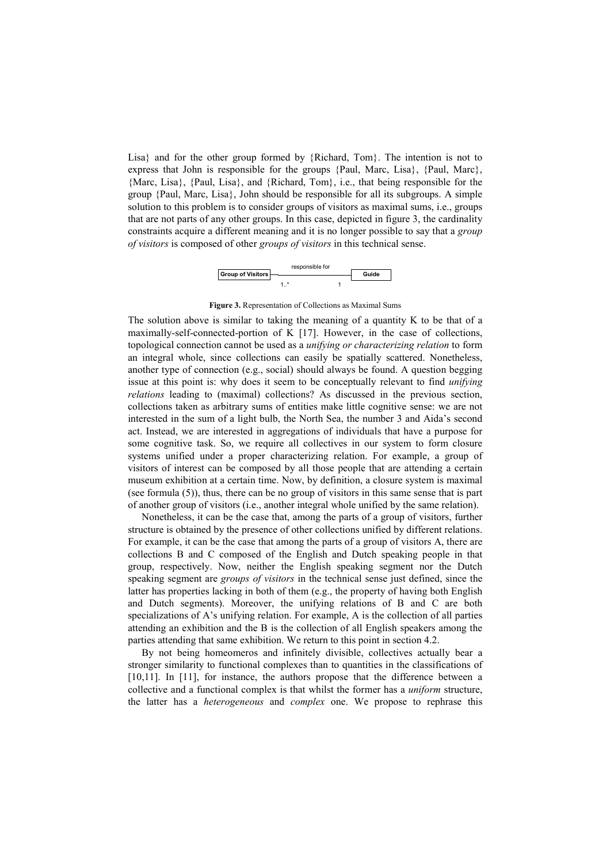Lisa} and for the other group formed by {Richard, Tom}. The intention is not to express that John is responsible for the groups {Paul, Marc, Lisa}, {Paul, Marc}, {Marc, Lisa}, {Paul, Lisa}, and {Richard, Tom}, i.e., that being responsible for the group {Paul, Marc, Lisa}, John should be responsible for all its subgroups. A simple solution to this problem is to consider groups of visitors as maximal sums, i.e., groups that are not parts of any other groups. In this case, depicted in figure 3, the cardinality constraints acquire a different meaning and it is no longer possible to say that a *group of visitors* is composed of other *groups of visitors* in this technical sense.



**Figure 3.** Representation of Collections as Maximal Sums

The solution above is similar to taking the meaning of a quantity K to be that of a maximally-self-connected-portion of K [17]. However, in the case of collections, topological connection cannot be used as a *unifying or characterizing relation* to form an integral whole, since collections can easily be spatially scattered. Nonetheless, another type of connection (e.g., social) should always be found. A question begging issue at this point is: why does it seem to be conceptually relevant to find *unifying relations* leading to (maximal) collections? As discussed in the previous section, collections taken as arbitrary sums of entities make little cognitive sense: we are not interested in the sum of a light bulb, the North Sea, the number 3 and Aida's second act. Instead, we are interested in aggregations of individuals that have a purpose for some cognitive task. So, we require all collectives in our system to form closure systems unified under a proper characterizing relation. For example, a group of visitors of interest can be composed by all those people that are attending a certain museum exhibition at a certain time. Now, by definition, a closure system is maximal (see formula (5)), thus, there can be no group of visitors in this same sense that is part of another group of visitors (i.e., another integral whole unified by the same relation).

Nonetheless, it can be the case that, among the parts of a group of visitors, further structure is obtained by the presence of other collections unified by different relations. For example, it can be the case that among the parts of a group of visitors A, there are collections B and C composed of the English and Dutch speaking people in that group, respectively. Now, neither the English speaking segment nor the Dutch speaking segment are *groups of visitors* in the technical sense just defined, since the latter has properties lacking in both of them (e.g., the property of having both English and Dutch segments). Moreover, the unifying relations of B and C are both specializations of A's unifying relation. For example, A is the collection of all parties attending an exhibition and the B is the collection of all English speakers among the parties attending that same exhibition. We return to this point in section 4.2.

By not being homeomeros and infinitely divisible, collectives actually bear a stronger similarity to functional complexes than to quantities in the classifications of [10,11]. In [11], for instance, the authors propose that the difference between a collective and a functional complex is that whilst the former has a *uniform* structure, the latter has a *heterogeneous* and *complex* one. We propose to rephrase this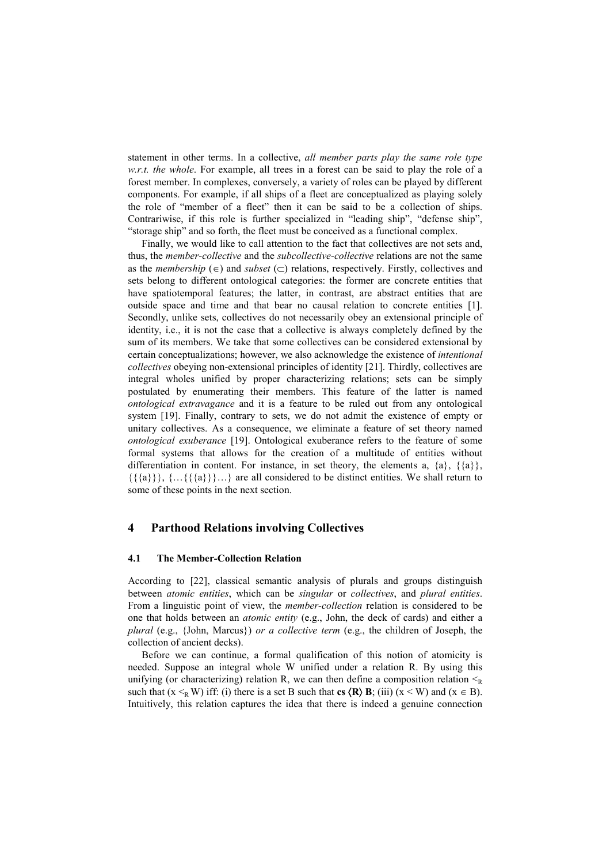statement in other terms. In a collective, *all member parts play the same role type w.r.t. the whole.* For example, all trees in a forest can be said to play the role of a forest member. In complexes, conversely, a variety of roles can be played by different components. For example, if all ships of a fleet are conceptualized as playing solely the role of "member of a fleet" then it can be said to be a collection of ships. Contrariwise, if this role is further specialized in "leading ship", "defense ship", "storage ship" and so forth, the fleet must be conceived as a functional complex.

Finally, we would like to call attention to the fact that collectives are not sets and, thus, the *member-collective* and the *subcollective-collective* relations are not the same as the *membership* (∈) and *subset* (⊂) relations, respectively. Firstly, collectives and sets belong to different ontological categories: the former are concrete entities that have spatiotemporal features; the latter, in contrast, are abstract entities that are outside space and time and that bear no causal relation to concrete entities [1]. Secondly, unlike sets, collectives do not necessarily obey an extensional principle of identity, i.e., it is not the case that a collective is always completely defined by the sum of its members. We take that some collectives can be considered extensional by certain conceptualizations; however, we also acknowledge the existence of *intentional collectives* obeying non-extensional principles of identity [21]. Thirdly, collectives are integral wholes unified by proper characterizing relations; sets can be simply postulated by enumerating their members. This feature of the latter is named *ontological extravagance* and it is a feature to be ruled out from any ontological system [19]. Finally, contrary to sets, we do not admit the existence of empty or unitary collectives. As a consequence, we eliminate a feature of set theory named *ontological exuberance* [19]. Ontological exuberance refers to the feature of some formal systems that allows for the creation of a multitude of entities without differentiation in content. For instance, in set theory, the elements a,  $\{a\}, \{\{a\}\}\$ ,  $\{\{\{a\}\}\}\$ ,  $\{\ldots\}\$  are all considered to be distinct entities. We shall return to some of these points in the next section.

### **4 Parthood Relations involving Collectives**

### **4.1 The Member-Collection Relation**

According to [22], classical semantic analysis of plurals and groups distinguish between *atomic entities*, which can be *singular* or *collectives*, and *plural entities*. From a linguistic point of view, the *member-collection* relation is considered to be one that holds between an *atomic entity* (e.g., John, the deck of cards) and either a *plural* (e.g., {John, Marcus}) *or a collective term* (e.g., the children of Joseph, the collection of ancient decks).

Before we can continue, a formal qualification of this notion of atomicity is needed. Suppose an integral whole W unified under a relation R. By using this unifying (or characterizing) relation R, we can then define a composition relation  $\leq_R$ such that  $(x \leq_R W)$  iff: (i) there is a set B such that **cs**  $\langle \mathbf{R} \rangle \mathbf{B}$ ; (iii)  $(x \leq W)$  and  $(x \in B)$ . Intuitively, this relation captures the idea that there is indeed a genuine connection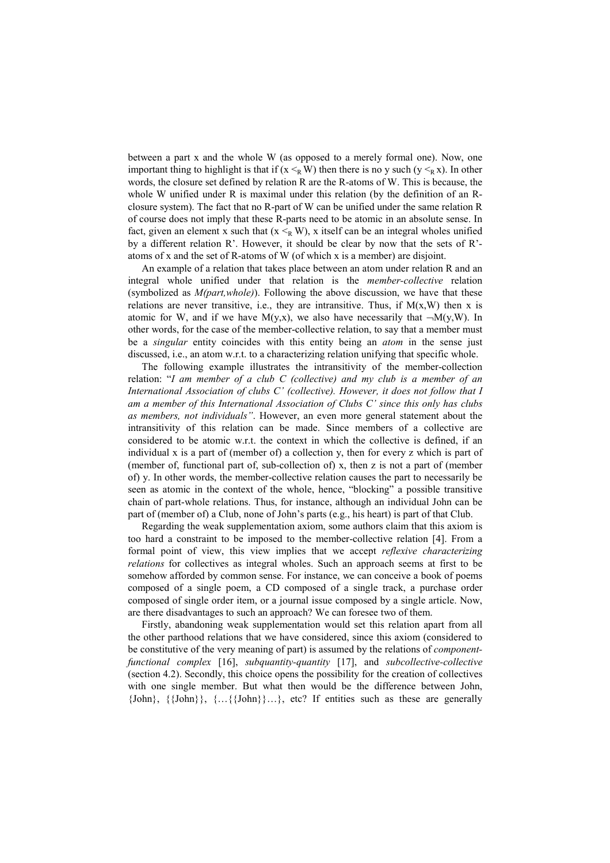between a part x and the whole W (as opposed to a merely formal one). Now, one important thing to highlight is that if  $(x \leq_R W)$  then there is no y such  $(y \leq_R x)$ . In other words, the closure set defined by relation R are the R-atoms of W. This is because, the whole W unified under R is maximal under this relation (by the definition of an Rclosure system). The fact that no R-part of W can be unified under the same relation R of course does not imply that these R-parts need to be atomic in an absolute sense. In fact, given an element x such that  $(x \leq_R W)$ , x itself can be an integral wholes unified by a different relation R'. However, it should be clear by now that the sets of R' atoms of x and the set of R-atoms of W (of which x is a member) are disjoint.

An example of a relation that takes place between an atom under relation R and an integral whole unified under that relation is the *member-collective* relation (symbolized as *M(part,whole)*). Following the above discussion, we have that these relations are never transitive, i.e., they are intransitive. Thus, if  $M(x,W)$  then x is atomic for W, and if we have  $M(y,x)$ , we also have necessarily that  $-M(y,W)$ . In other words, for the case of the member-collective relation, to say that a member must be a *singular* entity coincides with this entity being an *atom* in the sense just discussed, i.e., an atom w.r.t. to a characterizing relation unifying that specific whole.

The following example illustrates the intransitivity of the member-collection relation: "*I am member of a club C (collective) and my club is a member of an International Association of clubs C' (collective). However, it does not follow that I am a member of this International Association of Clubs C' since this only has clubs as members, not individuals"*. However, an even more general statement about the intransitivity of this relation can be made. Since members of a collective are considered to be atomic w.r.t. the context in which the collective is defined, if an individual x is a part of (member of) a collection y, then for every z which is part of (member of, functional part of, sub-collection of) x, then z is not a part of (member of) y. In other words, the member-collective relation causes the part to necessarily be seen as atomic in the context of the whole, hence, "blocking" a possible transitive chain of part-whole relations. Thus, for instance, although an individual John can be part of (member of) a Club, none of John's parts (e.g., his heart) is part of that Club.

Regarding the weak supplementation axiom, some authors claim that this axiom is too hard a constraint to be imposed to the member-collective relation [4]. From a formal point of view, this view implies that we accept *reflexive characterizing relations* for collectives as integral wholes. Such an approach seems at first to be somehow afforded by common sense. For instance, we can conceive a book of poems composed of a single poem, a CD composed of a single track, a purchase order composed of single order item, or a journal issue composed by a single article. Now, are there disadvantages to such an approach? We can foresee two of them.

Firstly, abandoning weak supplementation would set this relation apart from all the other parthood relations that we have considered, since this axiom (considered to be constitutive of the very meaning of part) is assumed by the relations of *componentfunctional complex* [16], *subquantity-quantity* [17], and *subcollective-collective* (section 4.2). Secondly, this choice opens the possibility for the creation of collectives with one single member. But what then would be the difference between John,  ${John}, {(John)}, ..., {(John)}, ...$ , etc? If entities such as these are generally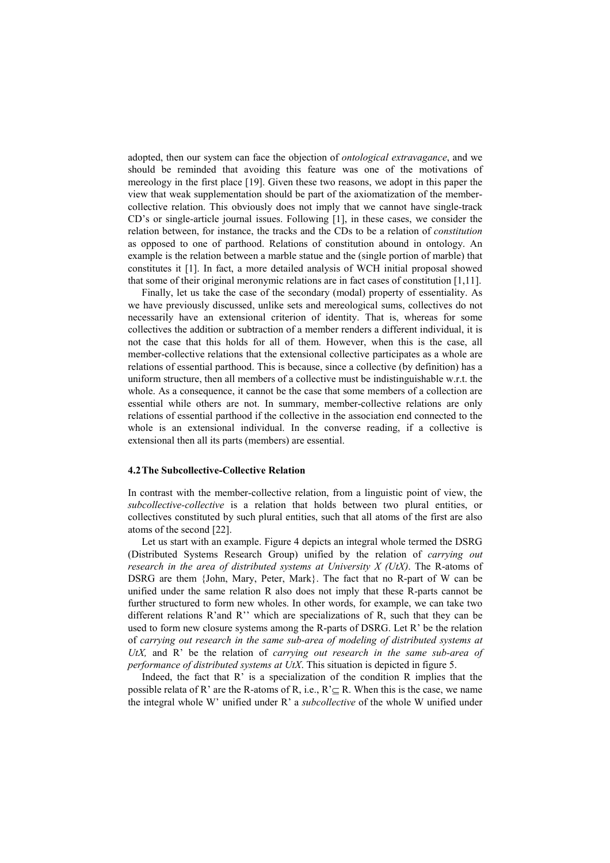adopted, then our system can face the objection of *ontological extravagance*, and we should be reminded that avoiding this feature was one of the motivations of mereology in the first place [19]. Given these two reasons, we adopt in this paper the view that weak supplementation should be part of the axiomatization of the membercollective relation. This obviously does not imply that we cannot have single-track CD's or single-article journal issues. Following [1], in these cases, we consider the relation between, for instance, the tracks and the CDs to be a relation of *constitution* as opposed to one of parthood. Relations of constitution abound in ontology. An example is the relation between a marble statue and the (single portion of marble) that constitutes it [1]. In fact, a more detailed analysis of WCH initial proposal showed that some of their original meronymic relations are in fact cases of constitution [1,11].

Finally, let us take the case of the secondary (modal) property of essentiality. As we have previously discussed, unlike sets and mereological sums, collectives do not necessarily have an extensional criterion of identity. That is, whereas for some collectives the addition or subtraction of a member renders a different individual, it is not the case that this holds for all of them. However, when this is the case, all member-collective relations that the extensional collective participates as a whole are relations of essential parthood. This is because, since a collective (by definition) has a uniform structure, then all members of a collective must be indistinguishable w.r.t. the whole. As a consequence, it cannot be the case that some members of a collection are essential while others are not. In summary, member-collective relations are only relations of essential parthood if the collective in the association end connected to the whole is an extensional individual. In the converse reading, if a collective is extensional then all its parts (members) are essential.

#### **4.2The Subcollective-Collective Relation**

In contrast with the member-collective relation, from a linguistic point of view, the *subcollective-collective* is a relation that holds between two plural entities, or collectives constituted by such plural entities, such that all atoms of the first are also atoms of the second [22].

Let us start with an example. Figure 4 depicts an integral whole termed the DSRG (Distributed Systems Research Group) unified by the relation of *carrying out research in the area of distributed systems at University X (UtX)*. The R-atoms of DSRG are them {John, Mary, Peter, Mark}. The fact that no R-part of W can be unified under the same relation R also does not imply that these R-parts cannot be further structured to form new wholes. In other words, for example, we can take two different relations R'and R'' which are specializations of R, such that they can be used to form new closure systems among the R-parts of DSRG. Let R' be the relation of *carrying out research in the same sub-area of modeling of distributed systems at UtX,* and R' be the relation of *carrying out research in the same sub-area of performance of distributed systems at UtX*. This situation is depicted in figure 5.

Indeed, the fact that R' is a specialization of the condition R implies that the possible relata of R' are the R-atoms of R, i.e.,  $R \subseteq R$ . When this is the case, we name the integral whole W' unified under R' a *subcollective* of the whole W unified under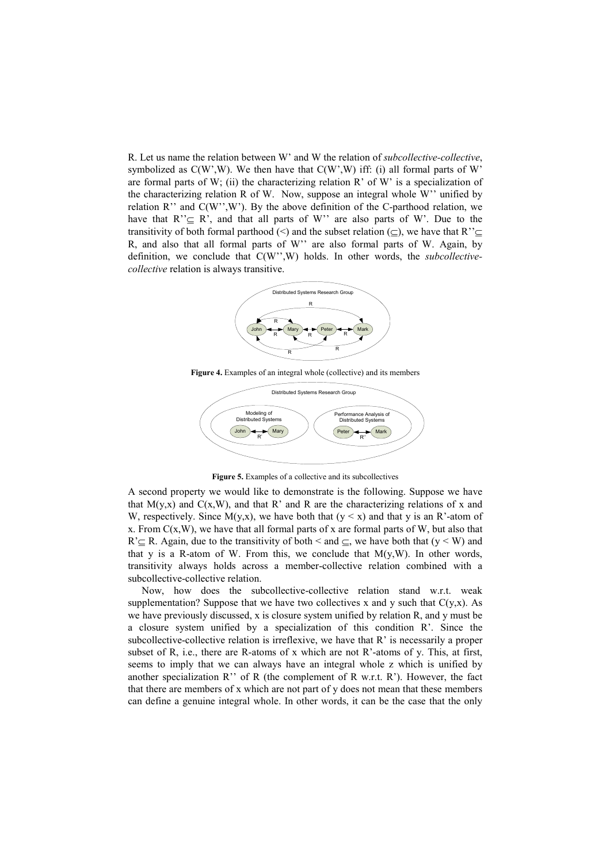R. Let us name the relation between W' and W the relation of *subcollective-collective*, symbolized as  $C(W', W)$ . We then have that  $C(W', W)$  iff: (i) all formal parts of W' are formal parts of W; (ii) the characterizing relation R' of W' is a specialization of the characterizing relation R of W. Now, suppose an integral whole W'' unified by relation  $R$ " and  $C(W", W')$ . By the above definition of the C-parthood relation, we have that  $R'' \subseteq R'$ , and that all parts of W'' are also parts of W'. Due to the transitivity of both formal parthood (<) and the subset relation ( $\subseteq$ ), we have that R<sup>'</sup>' $\subseteq$ R, and also that all formal parts of W'' are also formal parts of W. Again, by definition, we conclude that C(W'',W) holds. In other words, the *subcollectivecollective* relation is always transitive.



**Figure 4.** Examples of an integral whole (collective) and its members



**Figure 5.** Examples of a collective and its subcollectives

A second property we would like to demonstrate is the following. Suppose we have that  $M(y,x)$  and  $C(x,W)$ , and that R' and R are the characterizing relations of x and W, respectively. Since M(y,x), we have both that ( $y \le x$ ) and that y is an R'-atom of x. From  $C(x, W)$ , we have that all formal parts of x are formal parts of W, but also that  $R' \subseteq R$ . Again, due to the transitivity of both < and  $\subseteq$ , we have both that (y < W) and that y is a R-atom of W. From this, we conclude that  $M(y, W)$ . In other words, transitivity always holds across a member-collective relation combined with a subcollective-collective relation.

Now, how does the subcollective-collective relation stand w.r.t. weak supplementation? Suppose that we have two collectives x and y such that  $C(y,x)$ . As we have previously discussed, x is closure system unified by relation R, and y must be a closure system unified by a specialization of this condition R'. Since the subcollective-collective relation is irreflexive, we have that R' is necessarily a proper subset of R, i.e., there are R-atoms of x which are not R'-atoms of y. This, at first, seems to imply that we can always have an integral whole z which is unified by another specialization  $R$ <sup>"</sup> of R (the complement of R w.r.t. R<sup>'</sup>). However, the fact that there are members of x which are not part of y does not mean that these members can define a genuine integral whole. In other words, it can be the case that the only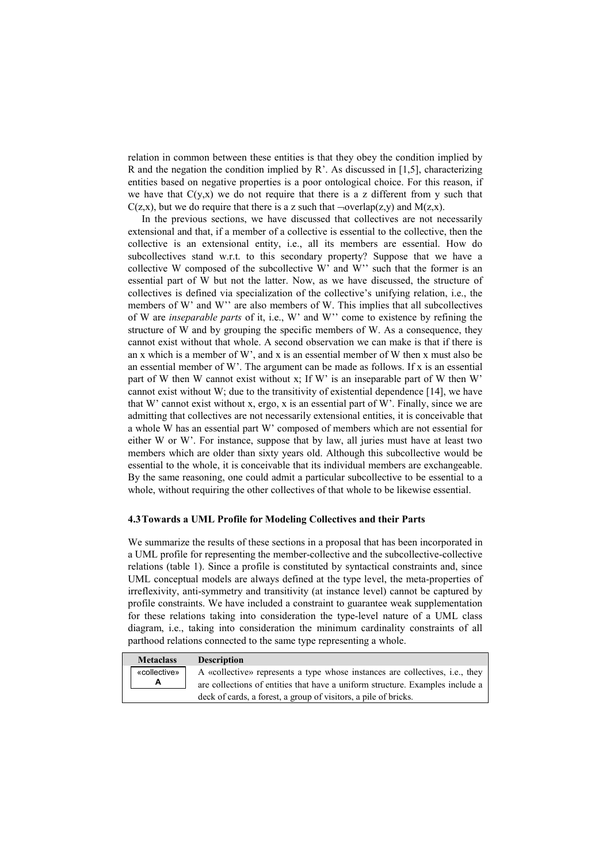relation in common between these entities is that they obey the condition implied by R and the negation the condition implied by R'. As discussed in  $[1,5]$ , characterizing entities based on negative properties is a poor ontological choice. For this reason, if we have that  $C(y,x)$  we do not require that there is a z different from y such that  $C(z,x)$ , but we do require that there is a z such that  $\neg \overrightarrow{\text{overlap}}(z,y)$  and  $M(z,x)$ .

In the previous sections, we have discussed that collectives are not necessarily extensional and that, if a member of a collective is essential to the collective, then the collective is an extensional entity, i.e., all its members are essential. How do subcollectives stand w.r.t. to this secondary property? Suppose that we have a collective W composed of the subcollective W' and W'' such that the former is an essential part of W but not the latter. Now, as we have discussed, the structure of collectives is defined via specialization of the collective's unifying relation, i.e., the members of W' and W'' are also members of W. This implies that all subcollectives of W are *inseparable parts* of it, i.e., W' and W'' come to existence by refining the structure of W and by grouping the specific members of W. As a consequence, they cannot exist without that whole. A second observation we can make is that if there is an x which is a member of W', and x is an essential member of W then x must also be an essential member of W'. The argument can be made as follows. If x is an essential part of W then W cannot exist without x; If W' is an inseparable part of W then W' cannot exist without W; due to the transitivity of existential dependence [14], we have that W' cannot exist without x, ergo, x is an essential part of W'. Finally, since we are admitting that collectives are not necessarily extensional entities, it is conceivable that a whole W has an essential part W' composed of members which are not essential for either W or W'. For instance, suppose that by law, all juries must have at least two members which are older than sixty years old. Although this subcollective would be essential to the whole, it is conceivable that its individual members are exchangeable. By the same reasoning, one could admit a particular subcollective to be essential to a whole, without requiring the other collectives of that whole to be likewise essential.

### **4.3Towards a UML Profile for Modeling Collectives and their Parts**

We summarize the results of these sections in a proposal that has been incorporated in a UML profile for representing the member-collective and the subcollective-collective relations (table 1). Since a profile is constituted by syntactical constraints and, since UML conceptual models are always defined at the type level, the meta-properties of irreflexivity, anti-symmetry and transitivity (at instance level) cannot be captured by profile constraints. We have included a constraint to guarantee weak supplementation for these relations taking into consideration the type-level nature of a UML class diagram, i.e., taking into consideration the minimum cardinality constraints of all parthood relations connected to the same type representing a whole.

| <b>Metaclass</b> | <b>Description</b>                                                            |
|------------------|-------------------------------------------------------------------------------|
| «collective»     | A «collective» represents a type whose instances are collectives, i.e., they  |
| A                | are collections of entities that have a uniform structure. Examples include a |
|                  | deck of cards, a forest, a group of visitors, a pile of bricks.               |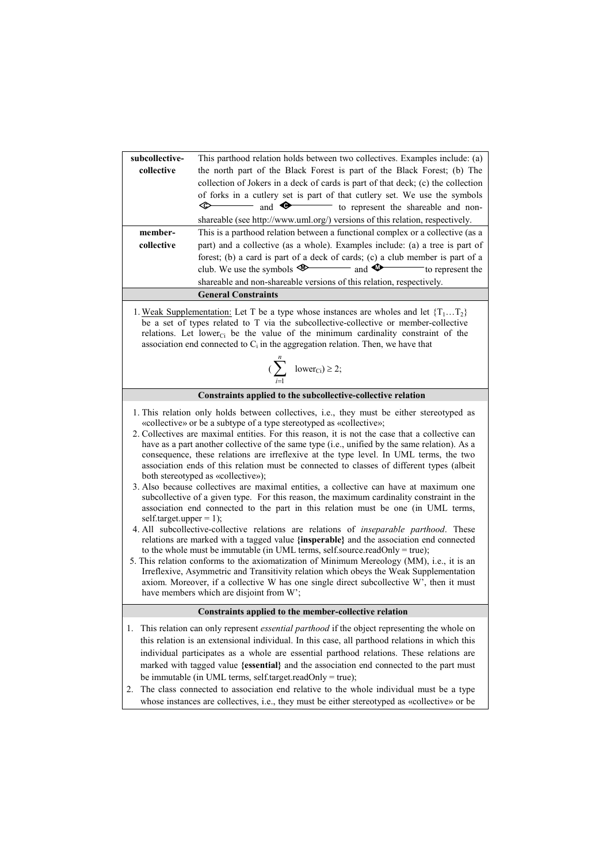| subcollective-<br>collective                                 | This parthood relation holds between two collectives. Examples include: (a)<br>the north part of the Black Forest is part of the Black Forest; (b) The<br>collection of Jokers in a deck of cards is part of that deck; (c) the collection<br>of forks in a cutlery set is part of that cutlery set. We use the symbols<br>≪<br>and $\bullet$ to represent the shareable and non-<br>shareable (see http://www.uml.org/) versions of this relation, respectively.                                                                                                                                                                                                                                                                                                                                                                                                                                                                                                                                                                                                                                                                                                                                                                                                                                                                                                                                                                                                                     |
|--------------------------------------------------------------|---------------------------------------------------------------------------------------------------------------------------------------------------------------------------------------------------------------------------------------------------------------------------------------------------------------------------------------------------------------------------------------------------------------------------------------------------------------------------------------------------------------------------------------------------------------------------------------------------------------------------------------------------------------------------------------------------------------------------------------------------------------------------------------------------------------------------------------------------------------------------------------------------------------------------------------------------------------------------------------------------------------------------------------------------------------------------------------------------------------------------------------------------------------------------------------------------------------------------------------------------------------------------------------------------------------------------------------------------------------------------------------------------------------------------------------------------------------------------------------|
| member-<br>collective                                        | This is a parthood relation between a functional complex or a collective (as a<br>part) and a collective (as a whole). Examples include: (a) a tree is part of<br>forest; (b) a card is part of a deck of cards; (c) a club member is part of a<br>club. We use the symbols $\circledast$ and $\circledast$ to represent the<br>shareable and non-shareable versions of this relation, respectively.                                                                                                                                                                                                                                                                                                                                                                                                                                                                                                                                                                                                                                                                                                                                                                                                                                                                                                                                                                                                                                                                                  |
|                                                              | <b>General Constraints</b>                                                                                                                                                                                                                                                                                                                                                                                                                                                                                                                                                                                                                                                                                                                                                                                                                                                                                                                                                                                                                                                                                                                                                                                                                                                                                                                                                                                                                                                            |
|                                                              | 1. Weak Supplementation: Let T be a type whose instances are wholes and let $\{T_1 \dots T_2\}$<br>be a set of types related to T via the subcollective-collective or member-collective<br>relations. Let lower <sub>Ci</sub> be the value of the minimum cardinality constraint of the<br>association end connected to $C_i$ in the aggregation relation. Then, we have that<br>$\left(\sum_{i=1}^{n} \text{lower}_{\text{Ci}}\right) \geq 2;$                                                                                                                                                                                                                                                                                                                                                                                                                                                                                                                                                                                                                                                                                                                                                                                                                                                                                                                                                                                                                                       |
| Constraints applied to the subcollective-collective relation |                                                                                                                                                                                                                                                                                                                                                                                                                                                                                                                                                                                                                                                                                                                                                                                                                                                                                                                                                                                                                                                                                                                                                                                                                                                                                                                                                                                                                                                                                       |
| self.target.upper = $1$ );                                   | 1. This relation only holds between collectives, i.e., they must be either stereotyped as<br>«collective» or be a subtype of a type stereotyped as «collective»;<br>2. Collectives are maximal entities. For this reason, it is not the case that a collective can<br>have as a part another collective of the same type (i.e., unified by the same relation). As a<br>consequence, these relations are irreflexive at the type level. In UML terms, the two<br>association ends of this relation must be connected to classes of different types (albeit<br>both stereotyped as «collective»);<br>3. Also because collectives are maximal entities, a collective can have at maximum one<br>subcollective of a given type. For this reason, the maximum cardinality constraint in the<br>association end connected to the part in this relation must be one (in UML terms,<br>4. All subcollective-collective relations are relations of <i>inseparable parthood</i> . These<br>relations are marked with a tagged value {insperable} and the association end connected<br>to the whole must be immutable (in UML terms, self.source.readOnly = true);<br>5. This relation conforms to the axiomatization of Minimum Mereology (MM), i.e., it is an<br>Irreflexive, Asymmetric and Transitivity relation which obeys the Weak Supplementation<br>axiom. Moreover, if a collective W has one single direct subcollective W', then it must<br>have members which are disjoint from W'; |
|                                                              | Constraints applied to the member-collective relation                                                                                                                                                                                                                                                                                                                                                                                                                                                                                                                                                                                                                                                                                                                                                                                                                                                                                                                                                                                                                                                                                                                                                                                                                                                                                                                                                                                                                                 |
| 1.<br>2.                                                     | This relation can only represent <i>essential parthood</i> if the object representing the whole on<br>this relation is an extensional individual. In this case, all parthood relations in which this<br>individual participates as a whole are essential parthood relations. These relations are<br>marked with tagged value {essential} and the association end connected to the part must<br>be immutable (in UML terms, self.target.readOnly = true);<br>The class connected to association end relative to the whole individual must be a type                                                                                                                                                                                                                                                                                                                                                                                                                                                                                                                                                                                                                                                                                                                                                                                                                                                                                                                                    |
|                                                              | whose instances are collectives, i.e., they must be either stereotyped as «collective» or be                                                                                                                                                                                                                                                                                                                                                                                                                                                                                                                                                                                                                                                                                                                                                                                                                                                                                                                                                                                                                                                                                                                                                                                                                                                                                                                                                                                          |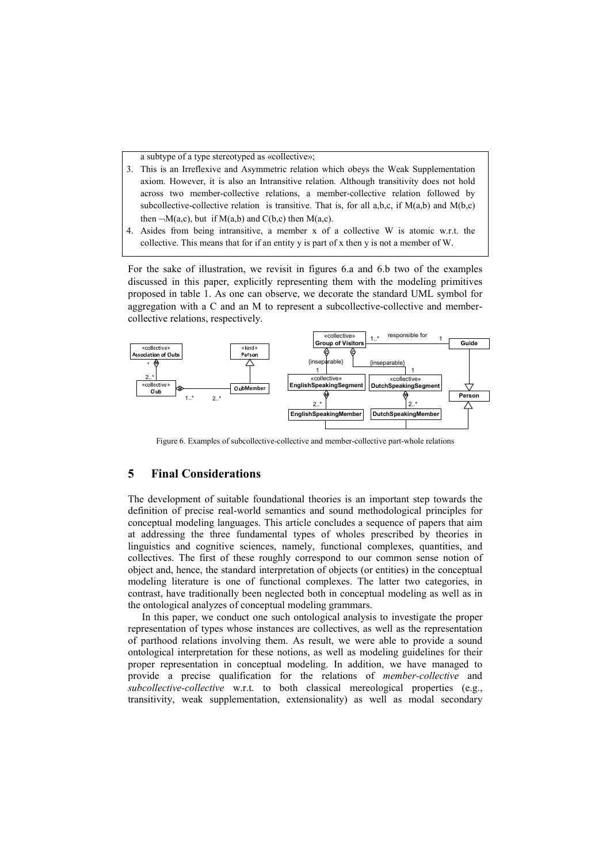a subtype of a type stereotyped as «collective»;

- 3. This is an Irreflexive and Asymmetric relation which obeys the Weak Supplementation axiom. However, it is also an Intransitive relation. Although transitivity does not hold across two member-collective relations, a member-collective relation followed by subcollective-collective relation is transitive. That is, for all  $a,b,c$ , if  $M(a,b)$  and  $M(b,c)$ then  $-M(a,c)$ , but if  $M(a,b)$  and  $C(b,c)$  then  $M(a,c)$ .
- 4. Asides from being intransitive, a member x of a collective W is atomic w.r.t. the collective. This means that for if an entity y is part of x then y is not a member of W.

For the sake of illustration, we revisit in figures 6.a and 6.b two of the examples discussed in this paper, explicitly representing them with the modeling primitives proposed in table 1. As one can observe, we decorate the standard UML symbol for aggregation with a C and an M to represent a subcollective-collective and membercollective relations, respectively.



Figure 6. Examples of subcollective-collective and member-collective part-whole relations

# **5 Final Considerations**

The development of suitable foundational theories is an important step towards the definition of precise real-world semantics and sound methodological principles for conceptual modeling languages. This article concludes a sequence of papers that aim at addressing the three fundamental types of wholes prescribed by theories in linguistics and cognitive sciences, namely, functional complexes, quantities, and collectives. The first of these roughly correspond to our common sense notion of object and, hence, the standard interpretation of objects (or entities) in the conceptual modeling literature is one of functional complexes. The latter two categories, in contrast, have traditionally been neglected both in conceptual modeling as well as in the ontological analyzes of conceptual modeling grammars.

In this paper, we conduct one such ontological analysis to investigate the proper representation of types whose instances are collectives, as well as the representation of parthood relations involving them. As result, we were able to provide a sound ontological interpretation for these notions, as well as modeling guidelines for their proper representation in conceptual modeling. In addition, we have managed to provide a precise qualification for the relations of *member-collective* and *subcollective-collective* w.r.t. to both classical mereological properties (e.g., transitivity, weak supplementation, extensionality) as well as modal secondary